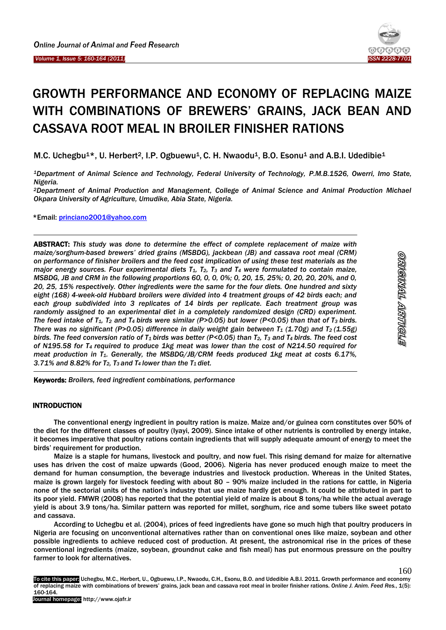j



# GROWTH PERFORMANCE AND ECONOMY OF REPLACING MAIZE WITH COMBINATIONS OF BREWERS' GRAINS, JACK BEAN AND CASSAVA ROOT MEAL IN BROILER FINISHER RATIONS

M.C. Uchegbu<sup>1\*</sup>, U. Herbert<sup>2</sup>, I.P. Ogbuewu<sup>1</sup>, C. H. Nwaodu<sup>1</sup>, B.O. Esonu<sup>1</sup> and A.B.I. Udedibie<sup>1</sup>

*<sup>1</sup>Department of Animal Science and Technology, Federal University of Technology, P.M.B.1526, Owerri, Imo State, Nigeria.* 

*<sup>2</sup>Department of Animal Production and Management, College of Animal Science and Animal Production Michael Okpara University of Agriculture, Umudike, Abia State, Nigeria.*

\*Email: [princiano2001@yahoo.com](mailto:princiano2001@yahoo.com)

ABSTRACT: *This study was done to determine the effect of complete replacement of maize with maize/sorghum-based brewers' dried grains (MSBDG), jackbean (JB) and cassava root meal (CRM) on performance of finisher broilers and the feed cost implication of using these test materials as the major energy sources. Four experimental diets T1, T2, T<sup>3</sup> and T<sup>4</sup> were formulated to contain maize, MSBDG, JB and CRM in the following proportions 60, 0, 0, 0%; 0, 20, 15, 25%; 0, 20, 20, 20%, and 0, 20, 25, 15% respectively. Other ingredients were the same for the four diets. One hundred and sixty eight (168) 4-week-old Hubbard broilers were divided into 4 treatment groups of 42 birds each; and each group subdivided into 3 replicates of 14 birds per replicate. Each treatment group was randomly assigned to an experimental diet in a completely randomized design (CRD) experiment. The feed intake of T1, T<sup>2</sup> and T4 birds were similar (P>0.05) but lower (P<0.05) than that of T3 birds. There was no significant (P>0.05) difference in daily weight gain between T<sup>1</sup> (1.70g) and T2 (1.55g) birds. The feed conversion ratio of T1 birds was better (P<0.05) than T2, T<sup>3</sup> and T4 birds. The feed cost of N195.58 for T4 required to produce 1kg meat was lower than the cost of N214.50 required for meat production in T1. Generally, the MSBDG/JB/CRM feeds produced 1kg meat at costs 6.17%, 3.71% and 8.82% for T2, T3 and T4 lower than the T1 diet.*

Keywords: *Broilers, feed ingredient combinations, performance*

## INTRODUCTION

The conventional energy ingredient in poultry ration is maize. Maize and/or guinea corn constitutes over 50% of the diet for the different classes of poultry (Iyayi, 2009). Since intake of other nutrients is controlled by energy intake, it becomes imperative that poultry rations contain ingredients that will supply adequate amount of energy to meet the birds' requirement for production.

Maize is a staple for humans, livestock and poultry, and now fuel. This rising demand for maize for alternative uses has driven the cost of maize upwards (Good, 2006). Nigeria has never produced enough maize to meet the demand for human consumption, the beverage industries and livestock production. Whereas in the United States, maize is grown largely for livestock feeding with about 80 – 90% maize included in the rations for cattle, in Nigeria none of the sectorial units of the nation's industry that use maize hardly get enough. It could be attributed in part to its poor yield. FMWR (2008) has reported that the potential yield of maize is about 8 tons/ha while the actual average yield is about 3.9 tons/ha. Similar pattern was reported for millet, sorghum, rice and some tubers like sweet potato and cassava.

According to Uchegbu et al. (2004), prices of feed ingredients have gone so much high that poultry producers in Nigeria are focusing on unconventional alternatives rather than on conventional ones like maize, soybean and other possible ingredients to achieve reduced cost of production. At present, the astronomical rise in the prices of these conventional ingredients (maize, soybean, groundnut cake and fish meal) has put enormous pressure on the poultry farmer to look for alternatives.

To cite this paper: Uchegbu, M.C., Herbert, U., Ogbuewu, I.P., Nwaodu, C.H., Esonu, B.O. and Udedibie A.B.I. 2011. Growth performance and economy of replacing maize with combinations of brewers' grains, jack bean and cassava root meal in broiler finisher rations. *Online J. Anim. Feed Res.*, 1(5): 160-164.

160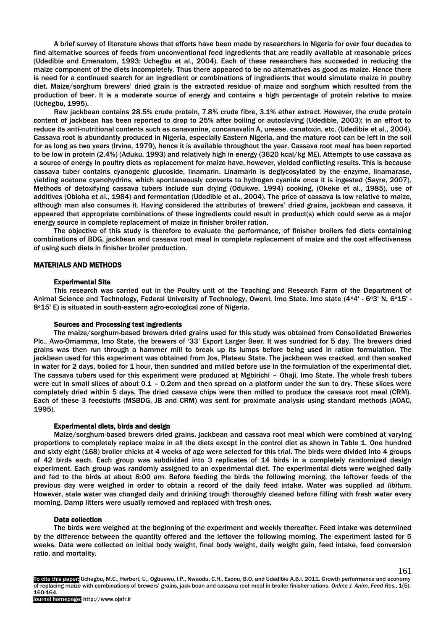A brief survey of literature shows that efforts have been made by researchers in Nigeria for over four decades to find alternative sources of feeds from unconventional feed ingredients that are readily available at reasonable prices (Udedibie and Emenalom, 1993; Uchegbu et al., 2004). Each of these researchers has succeeded in reducing the maize component of the diets incompletely. Thus there appeared to be no alternatives as good as maize. Hence there is need for a continued search for an ingredient or combinations of ingredients that would simulate maize in poultry diet. Maize/sorghum brewers' dried grain is the extracted residue of maize and sorghum which resulted from the production of beer. It is a moderate source of energy and contains a high percentage of protein relative to maize (Uchegbu, 1995).

Raw jackbean contains 28.5% crude protein, 7.8% crude fibre, 3.1% ether extract. However, the crude protein content of jackbean has been reported to drop to 25% after boiling or autoclaving (Udedibie, 2003); in an effort to reduce its anti-nutritional contents such as canavanine, concanavalin A, urease, canatoxin, etc. (Udedibie et al., 2004). Cassava root is abundantly produced in Nigeria, especially Eastern Nigeria, and the mature root can be left in the soil for as long as two years (Irvine, 1979), hence it is available throughout the year. Cassava root meal has been reported to be low in protein (2.4%) (Aduku, 1993) and relatively high in energy (3620 kcal/kg ME). Attempts to use cassava as a source of energy in poultry diets as replacement for maize have, however, yielded conflicting results. This is because cassava tuber contains cyanogenic glucoside, linamarin. Linamarin is deglycosylated by the enzyme, linamarase, yielding acetone cyanohydrins, which spontaneously converts to hydrogen cyanide once it is ingested (Sayre, 2007). Methods of detoxifying cassava tubers include sun drying (Odukwe, 1994) cooking, (Okeke et al., 1985), use of additives (Obioha et al., 1984) and fermentation (Udedibie et al., 2004). The price of cassava is low relative to maize, although man also consumes it. Having considered the attributes of brewers' dried grains, jackbean and cassava, it appeared that appropriate combinations of these ingredients could result in product(s) which could serve as a major energy source in complete replacement of maize in finisher broiler ration.

The objective of this study is therefore to evaluate the performance, of finisher broilers fed diets containing combinations of BDG, jackbean and cassava root meal in complete replacement of maize and the cost effectiveness of using such diets in finisher broiler production.

## MATERIALS AND METHODS

#### Experimental Site

This research was carried out in the Poultry unit of the Teaching and Research Farm of the Department of Animal Science and Technology, Federal University of Technology, Owerri, Imo State. Imo state (4°4' - 6°3' N, 6°15' -8°15' E) is situated in south-eastern agro-ecological zone of Nigeria.

### Sources and Processing test ingredients

The maize/sorghum-based brewers dried grains used for this study was obtained from Consolidated Breweries Plc., Awo-Omamma, Imo State, the brewers of '33' Export Larger Beer. It was sundried for 5 day. The brewers dried grains was then run through a hammer mill to break up its lumps before being used in ration formulation. The jackbean used for this experiment was obtained from Jos, Plateau State. The jackbean was cracked, and then soaked in water for 2 days, boiled for 1 hour, then sundried and milled before use in the formulation of the experimental diet. The cassava tubers used for this experiment were produced at Mgbirichi – Ohaji, Imo State. The whole fresh tubers were cut in small slices of about 0.1 – 0.2cm and then spread on a platform under the sun to dry. These slices were completely dried within 5 days. The dried cassava chips were then milled to produce the cassava root meal (CRM). Each of these 3 feedstuffs (MSBDG, JB and CRM) was sent for proximate analysis using standard methods (AOAC, 1995).

### Experimental diets, birds and design

Maize/sorghum-based brewers dried grains, jackbean and cassava root meal which were combined at varying proportions to completely replace maize in all the diets except in the control diet as shown in Table 1. One hundred and sixty eight (168) broiler chicks at 4 weeks of age were selected for this trial. The birds were divided into 4 groups of 42 birds each. Each group was subdivided into 3 replicates of 14 birds in a completely randomized design experiment. Each group was randomly assigned to an experimental diet. The experimental diets were weighed daily and fed to the birds at about 8:00 am. Before feeding the birds the following morning, the leftover feeds of the previous day were weighed in order to obtain a record of the daily feed intake. Water was supplied *ad libitum*. However, stale water was changed daily and drinking trough thoroughly cleaned before filling with fresh water every morning. Damp litters were usually removed and replaced with fresh ones.

## Data collection

The birds were weighed at the beginning of the experiment and weekly thereafter. Feed intake was determined by the difference between the quantity offered and the leftover the following morning. The experiment lasted for 5 weeks. Data were collected on initial body weight, final body weight, daily weight gain, feed intake, feed conversion ratio, and mortality.

To cite this paper: Uchegbu, M.C., Herbert, U., Ogbuewu, I.P., Nwaodu, C.H., Esonu, B.O. and Udedibie A.B.I. 2011. Growth performance and economy of replacing maize with combinations of brewers' grains, jack bean and cassava root meal in broiler finisher rations. *Online J. Anim. Feed Res.*, 1(5): 160-164.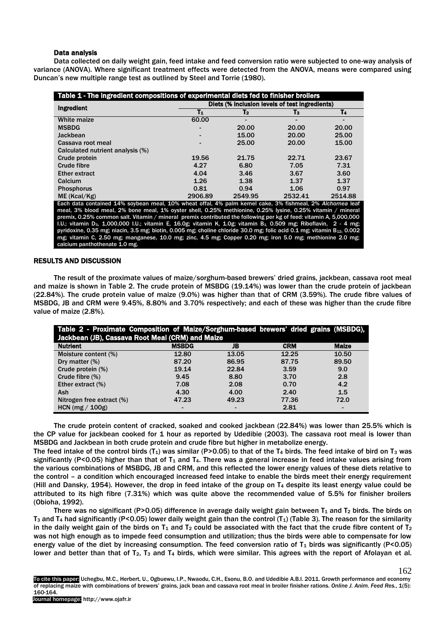## Data analysis

Data collected on daily weight gain, feed intake and feed conversion ratio were subjected to one-way analysis of variance (ANOVA). Where significant treatment effects were detected from the ANOVA, means were compared using Duncan's new multiple range test as outlined by Steel and Torrie (1980).

| Table 1 - The ingredient compositions of experimental diets fed to finisher broilers                                                                                                                                                                                       |         |                |         |  |  |
|----------------------------------------------------------------------------------------------------------------------------------------------------------------------------------------------------------------------------------------------------------------------------|---------|----------------|---------|--|--|
| Diets (% inclusion levels of test ingredients)                                                                                                                                                                                                                             |         |                |         |  |  |
| $T_1$                                                                                                                                                                                                                                                                      | T2      | $\mathsf{T}_3$ | T4      |  |  |
| 60.00                                                                                                                                                                                                                                                                      |         |                |         |  |  |
|                                                                                                                                                                                                                                                                            | 20.00   | 20.00          | 20.00   |  |  |
|                                                                                                                                                                                                                                                                            | 15.00   | 20.00          | 25.00   |  |  |
|                                                                                                                                                                                                                                                                            | 25.00   | 20.00          | 15.00   |  |  |
|                                                                                                                                                                                                                                                                            |         |                |         |  |  |
| 19.56                                                                                                                                                                                                                                                                      | 21.75   | 22.71          | 23.67   |  |  |
| 4.27                                                                                                                                                                                                                                                                       | 6.80    | 7.05           | 7.31    |  |  |
| 4.04                                                                                                                                                                                                                                                                       | 3.46    | 3.67           | 3.60    |  |  |
| 1.26                                                                                                                                                                                                                                                                       | 1.38    | 1.37           | 1.37    |  |  |
| 0.81                                                                                                                                                                                                                                                                       | 0.94    | 1.06           | 0.97    |  |  |
| 2906.89                                                                                                                                                                                                                                                                    | 2549.95 | 2532.41        | 2514.88 |  |  |
| Each data contained 14% soybean meal, 10% wheat offal, 4% palm kernel cake, 3% fishmeal, 2% Alchornea leaf                                                                                                                                                                 |         |                |         |  |  |
| meal, 3% blood meal, 2% bone meal, 1% oyster shell, 0.25% methionine, 0.25% lysine, 0.25% vitamin / mineral                                                                                                                                                                |         |                |         |  |  |
| premix, 0.25% common salt. Vitamin / mineral premix contributed the following per kg of feed: vitamin A, 5,000,000                                                                                                                                                         |         |                |         |  |  |
| I.U.; vitamin D <sub>3</sub> , 1,000,000 I.U.; vitamin E, 16.0g; vitamin K, 1.0g; vitamin B <sub>1</sub> , 0.509 mg; Riboflavin, 2 - 4 mg;<br>pyridoxine, 0.35 mg; niacin, 3.5 mg; biotin, 0.005 mg; choline chloride 30.0 mg; folic acid 0.1 mg; vitamin $B_{12}$ , 0.002 |         |                |         |  |  |
| mg; vitamin C, 2.50 mg; manganese, 10.0 mg; zinc, 4.5 mg; Copper 0.20 mg; iron 5.0 mg; methionine 2.0 mg;                                                                                                                                                                  |         |                |         |  |  |
| calcium panthothenate 1.0 mg.                                                                                                                                                                                                                                              |         |                |         |  |  |
|                                                                                                                                                                                                                                                                            |         |                |         |  |  |

# RESULTS AND DISCUSSION

The result of the proximate values of maize/sorghum-based brewers' dried grains, jackbean, cassava root meal and maize is shown in Table 2. The crude protein of MSBDG (19.14%) was lower than the crude protein of jackbean (22.84%). The crude protein value of maize (9.0%) was higher than that of CRM (3.59%). The crude fibre values of MSBDG, JB and CRM were 9.45%, 8.80% and 3.70% respectively; and each of these was higher than the crude fibre value of maize (2.8%).

| Table 2 - Proximate Composition of Maize/Sorghum-based brewers' dried grains (MSBDG),<br>Jackbean (JB), Cassava Root Meal (CRM) and Maize |                 |       |            |              |  |
|-------------------------------------------------------------------------------------------------------------------------------------------|-----------------|-------|------------|--------------|--|
| <b>Nutrient</b>                                                                                                                           | <b>MSBDG</b>    | JB    | <b>CRM</b> | <b>Maize</b> |  |
| Moisture content (%)                                                                                                                      | 12.80           | 13.05 | 12.25      | 10.50        |  |
| Dry matter $(\%)$                                                                                                                         | 87.20           | 86.95 | 87.75      | 89.50        |  |
| Crude protein (%)                                                                                                                         | 19.14           | 22.84 | 3.59       | 9.0          |  |
| Crude fibre $(\%)$                                                                                                                        | 9.45            | 8.80  | 3.70       | 2.8          |  |
| Ether extract (%)                                                                                                                         | 7.08            | 2.08  | 0.70       | 4.2          |  |
| Ash                                                                                                                                       | 4.30            | 4.00  | 2.40       | 1.5          |  |
| Nitrogen free extract (%)                                                                                                                 | 47.23           | 49.23 | 77.36      | 72.0         |  |
| HCN ( $mg/100g$ )                                                                                                                         | $\qquad \qquad$ |       | 2.81       | -            |  |

The crude protein content of cracked, soaked and cooked jackbean (22.84%) was lower than 25.5% which is the CP value for jackbean cooked for 1 hour as reported by Udedibie (2003). The cassava root meal is lower than MSBDG and Jackbean in both crude protein and crude fibre but higher in metabolize energy.

The feed intake of the control birds (T<sub>1</sub>) was similar (P>0.05) to that of the T<sub>4</sub> birds. The feed intake of bird on T<sub>3</sub> was significantly (P<0.05) higher than that of  $T_1$  and  $T_4$ . There was a general increase in feed intake values arising from the various combinations of MSBDG, JB and CRM, and this reflected the lower energy values of these diets relative to the control – a condition which encouraged increased feed intake to enable the birds meet their energy requirement (Hill and Dansky, 1954). However, the drop in feed intake of the group on  $T_4$  despite its least energy value could be attributed to its high fibre (7.31%) which was quite above the recommended value of 5.5% for finisher broilers (Obioha, 1992).

There was no significant (P>0.05) difference in average daily weight gain between  $T_1$  and  $T_2$  birds. The birds on  $T_3$  and T<sub>4</sub> had significantly (P<0.05) lower daily weight gain than the control (T<sub>1</sub>) (Table 3). The reason for the similarity in the daily weight gain of the birds on  $T_1$  and  $T_2$  could be associated with the fact that the crude fibre content of  $T_2$ was not high enough as to impede feed consumption and utilization; thus the birds were able to compensate for low energy value of the diet by increasing consumption. The feed conversion ratio of  $T_1$  birds was significantly (P<0.05) lower and better than that of  $T_2$ ,  $T_3$  and  $T_4$  birds, which were similar. This agrees with the report of Afolayan et al.

To cite this paper: Uchegbu, M.C., Herbert, U., Ogbuewu, I.P., Nwaodu, C.H., Esonu, B.O. and Udedibie A.B.I. 2011. Growth performance and economy of replacing maize with combinations of brewers' grains, jack bean and cassava root meal in broiler finisher rations. *Online J. Anim. Feed Res.*, 1(5): 160-164.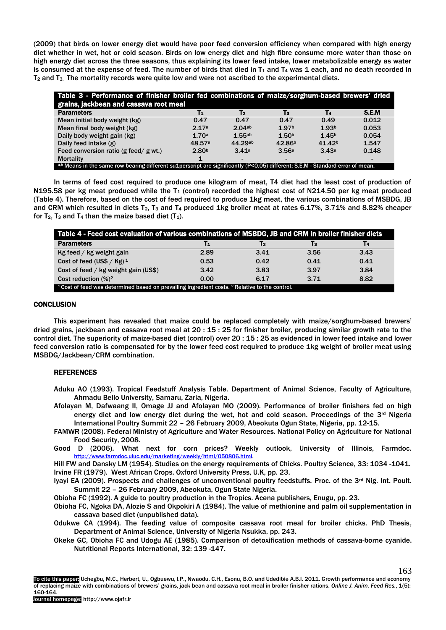(2009) that birds on lower energy diet would have poor feed conversion efficiency when compared with high energy diet whether in wet, hot or cold season. Birds on low energy diet and high fibre consume more water than those on high energy diet across the three seasons, thus explaining its lower feed intake, lower metabolizable energy as water is consumed at the expense of feed. The number of birds that died in  $T_1$  and  $T_4$  was 1 each, and no death recorded in T<sup>2</sup> and T3. The mortality records were quite low and were not ascribed to the experimental diets.

| Table 3 - Performance of finisher broiler fed combinations of malze/sorghum-based brewers' dried<br>grains, jackbean and cassava root meal |                   |                          |                          |                    |                          |
|--------------------------------------------------------------------------------------------------------------------------------------------|-------------------|--------------------------|--------------------------|--------------------|--------------------------|
| <b>Parameters</b>                                                                                                                          | T1                | T2                       | Tз                       | T4                 | <b>S.E.M</b>             |
| Mean initial body weight (kg)                                                                                                              | 0.47              | 0.47                     | 0.47                     | 0.49               | 0.012                    |
| Mean final body weight (kg)                                                                                                                | 2.17a             | 2.04ab                   | 1.97 <sup>b</sup>        | 1.93 <sup>b</sup>  | 0.053                    |
| Daily body weight gain (kg)                                                                                                                | 1.70a             | 1.55ab                   | 1.50 <sup>b</sup>        | 1.45 <sup>b</sup>  | 0.054                    |
| Daily feed intake (g)                                                                                                                      | 48.57a            | 44.29ab                  | 42.86 <sup>b</sup>       | 41.42 <sup>b</sup> | 1.547                    |
| Feed conversion ratio (g feed/ g wt.)                                                                                                      | 2.80 <sup>b</sup> | 3.41a                    | 3.56a                    | 3.43a              | 0.148                    |
| <b>Mortality</b>                                                                                                                           |                   | $\overline{\phantom{0}}$ | $\overline{\phantom{0}}$ |                    | $\overline{\phantom{0}}$ |
| ab Means in the same row bearing different su1perscript are significantly (P<0.05) different; S.E.M - Standard error of mean.              |                   |                          |                          |                    |                          |

In terms of feed cost required to produce one kilogram of meat, T4 diet had the least cost of production of N195.58 per kg meat produced while the  $T_1$  (control) recorded the highest cost of N214.50 per kg meat produced (Table 4). Therefore, based on the cost of feed required to produce 1kg meat, the various combinations of MSBDG, JB and CRM which resulted in diets T<sub>2</sub>, T<sub>3</sub> and T<sub>4</sub> produced 1kg broiler meat at rates 6.17%, 3.71% and 8.82% cheaper for  $T_2$ ,  $T_3$  and  $T_4$  than the maize based diet  $(T_1)$ .

| Table 4 - Feed cost evaluation of various combinations of MSBDG, JB and CRM in broiler finisher diets |      |      |      |      |
|-------------------------------------------------------------------------------------------------------|------|------|------|------|
| <b>Parameters</b>                                                                                     | T1   | T2   | T3   | T4   |
| Kg feed / kg weight gain                                                                              | 2.89 | 3.41 | 3.56 | 3.43 |
| Cost of feed (US\$ / $Kg$ ) <sup>1</sup>                                                              | 0.53 | 0.42 | 0.41 | 0.41 |
| Cost of feed / kg weight gain (US\$)                                                                  | 3.42 | 3.83 | 3.97 | 3.84 |
| Cost reduction (%) <sup>2</sup>                                                                       | 0.00 | 6.17 | 3.71 | 8.82 |
| $11$ Cost of feed was determined based on prevailing ingredient costs. $2$ Relative to the control.   |      |      |      |      |

## **CONCLUSION**

This experiment has revealed that maize could be replaced completely with maize/sorghum-based brewers' dried grains, jackbean and cassava root meal at 20 : 15 : 25 for finisher broiler, producing similar growth rate to the control diet. The superiority of maize-based diet (control) over 20 : 15 : 25 as evidenced in lower feed intake and lower feed conversion ratio is compensated for by the lower feed cost required to produce 1kg weight of broiler meat using MSBDG/Jackbean/CRM combination.

# **REFERENCES**

- Aduku AO (1993). Tropical Feedstuff Analysis Table. Department of Animal Science, Faculty of Agriculture, Ahmadu Bello University, Samaru, Zaria, Nigeria.
- Afolayan M, Dafwaang II, Omage JJ and Afolayan MO (2009). Performance of broiler finishers fed on high energy diet and low energy diet during the wet, hot and cold season. Proceedings of the 3<sup>rd</sup> Nigeria International Poultry Summit 22 – 26 February 2009, Abeokuta Ogun State, Nigeria, pp. 12-15.
- FAMWR (2008). Federal Ministry of Agriculture and Water Resources. National Policy on Agriculture for National Food Security, 2008.

Good D (2006). What next for corn prices? Weekly outlook, University of Illinois, Farmdoc. [http://www.farmdoc.uiuc.edu/marketing/weekly/html/050806.html.](http://www.farmdoc.uiuc.edu/marketing/weekly/html/050806.html) 

Hill FW and Dansky LM (1954). Studies on the energy requirements of Chicks. Poultry Science, 33: 1034 -1041. Irvine FR (1979). West African Crops. Oxford University Press, U.K, pp. 23.

Iyayi EA (2009). Prospects and challenges of unconventional poultry feedstuffs. Proc. of the 3rd Nig. Int. Poult. Summit 22 – 26 February 2009, Abeokuta, Ogun State Nigeria.

Obioha FC (1992). A guide to poultry production in the Tropics. Acena publishers, Enugu, pp. 23.

- Obioha FC, Ngoka DA, Alozie S and Okpokiri A (1984). The value of methionine and palm oil supplementation in cassava based diet (unpublished data).
- Odukwe CA (1994). The feeding value of composite cassava root meal for broiler chicks. PhD Thesis, Department of Animal Science, University of Nigeria Nsukka, pp. 243.
- Okeke GC, Obioha FC and Udogu AE (1985). Comparison of detoxification methods of cassava-borne cyanide. Nutritional Reports International, 32: 139 -147.

To cite this paper: Uchegbu, M.C., Herbert, U., Ogbuewu, I.P., Nwaodu, C.H., Esonu, B.O. and Udedibie A.B.I. 2011. Growth performance and economy of replacing maize with combinations of brewers' grains, jack bean and cassava root meal in broiler finisher rations. *Online J. Anim. Feed Res.*, 1(5): 160-164.